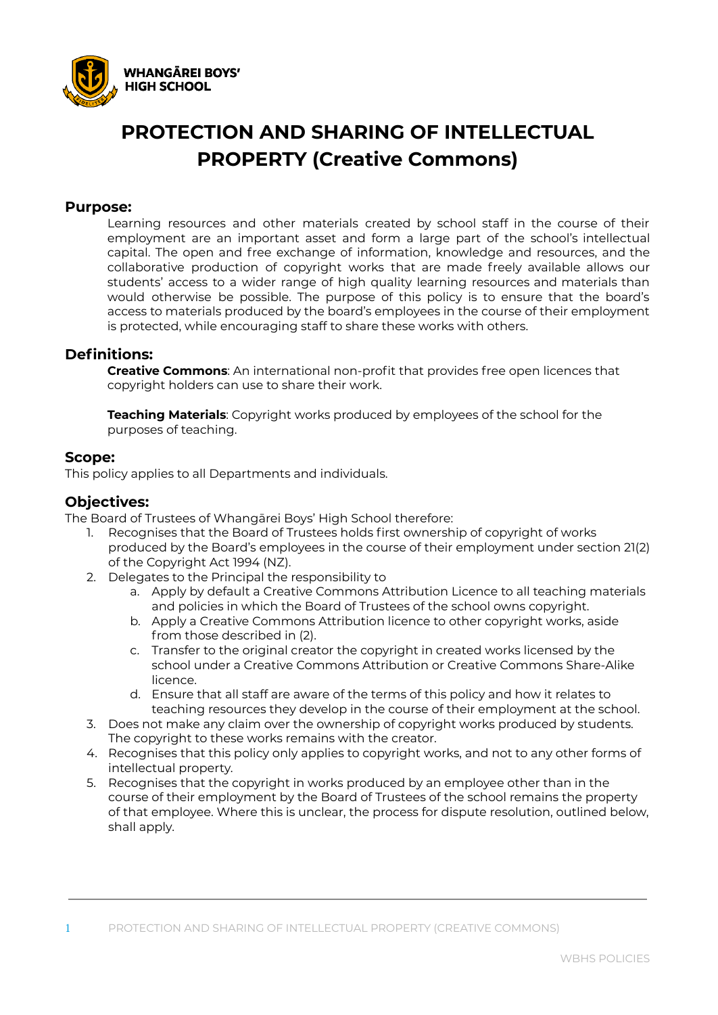

# **PROTECTION AND SHARING OF INTELLECTUAL PROPERTY (Creative Commons)**

#### **Purpose:**

Learning resources and other materials created by school staff in the course of their employment are an important asset and form a large part of the school's intellectual capital. The open and free exchange of information, knowledge and resources, and the collaborative production of copyright works that are made freely available allows our students' access to a wider range of high quality learning resources and materials than would otherwise be possible. The purpose of this policy is to ensure that the board's access to materials produced by the board's employees in the course of their employment is protected, while encouraging staff to share these works with others.

#### **Definitions:**

**Creative Commons**: An international non-profit that provides free open licences that copyright holders can use to share their work.

**Teaching Materials**: Copyright works produced by employees of the school for the purposes of teaching.

#### **Scope:**

This policy applies to all Departments and individuals.

### **Objectives:**

The Board of Trustees of Whangārei Boys' High School therefore:

- 1. Recognises that the Board of Trustees holds first ownership of copyright of works produced by the Board's employees in the course of their employment under section 21(2) of the Copyright Act 1994 (NZ).
- 2. Delegates to the Principal the responsibility to
	- a. Apply by default a Creative Commons Attribution Licence to all teaching materials and policies in which the Board of Trustees of the school owns copyright.
	- b. Apply a Creative Commons Attribution licence to other copyright works, aside from those described in (2).
	- c. Transfer to the original creator the copyright in created works licensed by the school under a Creative Commons Attribution or Creative Commons Share-Alike licence.
	- d. Ensure that all staff are aware of the terms of this policy and how it relates to teaching resources they develop in the course of their employment at the school.
- 3. Does not make any claim over the ownership of copyright works produced by students. The copyright to these works remains with the creator.
- 4. Recognises that this policy only applies to copyright works, and not to any other forms of intellectual property.
- 5. Recognises that the copyright in works produced by an employee other than in the course of their employment by the Board of Trustees of the school remains the property of that employee. Where this is unclear, the process for dispute resolution, outlined below, shall apply.